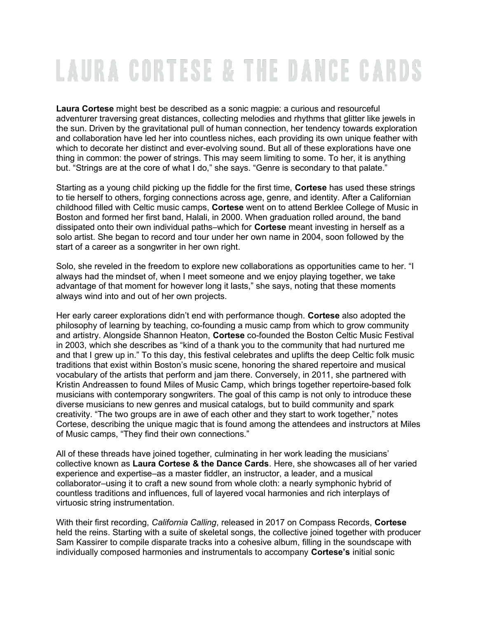## **LAURA CORTESE & THE DANCE CARDS**

Laura Cortese might best be described as a sonic magpie: a curious and resourceful adventurer traversing great distances, collecting melodies and rhythms that glitter like jewels in the sun. Driven by the gravitational pull of human connection, her tendency towards exploration and collaboration have led her into countless niches, each providing its own unique feather with which to decorate her distinct and ever-evolving sound. But all of these explorations have one thing in common: the power of strings. This may seem limiting to some. To her, it is anything but. "Strings are at the core of what I do," she says. "Genre is secondary to that palate."

Starting as a young child picking up the fiddle for the first time, **Cortese** has used these strings to tie herself to others, forging connections across age, genre, and identity. After a Californian childhood filled with Celtic music camps, Cortese went on to attend Berklee College of Music in Boston and formed her first band, Halali, in 2000. When graduation rolled around, the band dissipated onto their own individual paths–which for Cortese meant investing in herself as a solo artist. She began to record and tour under her own name in 2004, soon followed by the start of a career as a songwriter in her own right.

Solo, she reveled in the freedom to explore new collaborations as opportunities came to her. "I always had the mindset of, when I meet someone and we enjoy playing together, we take advantage of that moment for however long it lasts," she says, noting that these moments always wind into and out of her own projects.

Her early career explorations didn't end with performance though. Cortese also adopted the philosophy of learning by teaching, co-founding a music camp from which to grow community and artistry. Alongside Shannon Heaton, Cortese co-founded the Boston Celtic Music Festival in 2003, which she describes as "kind of a thank you to the community that had nurtured me and that I grew up in." To this day, this festival celebrates and uplifts the deep Celtic folk music traditions that exist within Boston's music scene, honoring the shared repertoire and musical vocabulary of the artists that perform and jam there. Conversely, in 2011, she partnered with Kristin Andreassen to found Miles of Music Camp, which brings together repertoire-based folk musicians with contemporary songwriters. The goal of this camp is not only to introduce these diverse musicians to new genres and musical catalogs, but to build community and spark creativity. "The two groups are in awe of each other and they start to work together," notes Cortese, describing the unique magic that is found among the attendees and instructors at Miles of Music camps, "They find their own connections."

All of these threads have joined together, culminating in her work leading the musicians' collective known as Laura Cortese & the Dance Cards. Here, she showcases all of her varied experience and expertise–as a master fiddler, an instructor, a leader, and a musical collaborator–using it to craft a new sound from whole cloth: a nearly symphonic hybrid of countless traditions and influences, full of layered vocal harmonies and rich interplays of virtuosic string instrumentation.

With their first recording, California Calling, released in 2017 on Compass Records, Cortese held the reins. Starting with a suite of skeletal songs, the collective joined together with producer Sam Kassirer to compile disparate tracks into a cohesive album, filling in the soundscape with individually composed harmonies and instrumentals to accompany Cortese's initial sonic